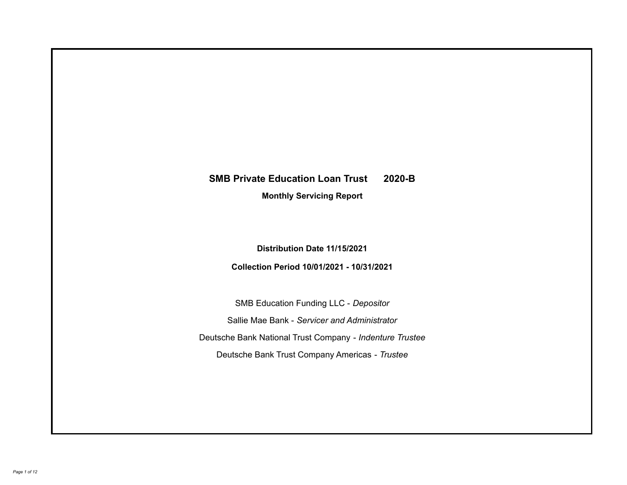# **SMB Private Education Loan Trust 2020-B**

**Monthly Servicing Report**

**Distribution Date 11/15/2021**

**Collection Period 10/01/2021 - 10/31/2021**

SMB Education Funding LLC - *Depositor* Sallie Mae Bank - *Servicer and Administrator* Deutsche Bank National Trust Company - *Indenture Trustee* Deutsche Bank Trust Company Americas - *Trustee*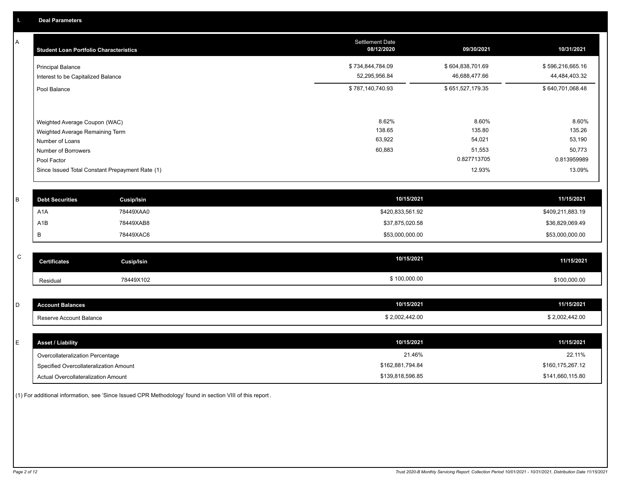A

| <b>Principal Balance</b><br>Interest to be Capitalized Balance                                                            | \$734,844,784.09<br>52,295,956.84   | \$604,838,701.69<br>46,688,477.66                  | \$596,216,665.16<br>44,484,403.32                            |
|---------------------------------------------------------------------------------------------------------------------------|-------------------------------------|----------------------------------------------------|--------------------------------------------------------------|
|                                                                                                                           |                                     |                                                    |                                                              |
| Pool Balance                                                                                                              | \$787,140,740.93                    | \$651,527,179.35                                   | \$640,701,068.48                                             |
| Weighted Average Coupon (WAC)<br>Weighted Average Remaining Term<br>Number of Loans<br>Number of Borrowers<br>Pool Factor | 8.62%<br>138.65<br>63,922<br>60,883 | 8.60%<br>135.80<br>54,021<br>51,553<br>0.827713705 | 8.60%<br>135.26<br>53,190<br>50,773<br>0.813959989<br>13.09% |
|                                                                                                                           |                                     |                                                    | 12.93%                                                       |

| <b>Debt Securities</b> | <b>Cusip/Isin</b> | 10/15/2021       | 11/15/2021       |
|------------------------|-------------------|------------------|------------------|
| A <sub>1</sub> A       | 78449XAA0         | \$420,833,561.92 | \$409,211,883.19 |
| A1B                    | 78449XAB8         | \$37,875,020.58  | \$36,829,069.49  |
|                        | 78449XAC6         | \$53,000,000.00  | \$53,000,000.00  |

| $\sim$<br>◡ | <b>Certificates</b> | Cusip/Isin | 10/15/2021   | 11/15/2021   |
|-------------|---------------------|------------|--------------|--------------|
|             | Residual            | 78449X102  | \$100,000.00 | \$100,000.00 |

| <b>Account Balances</b> | 10/15/2021     | 11/15/2021     |
|-------------------------|----------------|----------------|
| Reserve Account Balance | \$2,002,442.00 | \$2,002,442.00 |

| E. | <b>Asset / Liability</b>               | 10/15/2021       | 11/15/2021       |
|----|----------------------------------------|------------------|------------------|
|    | Overcollateralization Percentage       | 21.46%           | 22.11%           |
|    | Specified Overcollateralization Amount | \$162,881,794.84 | \$160,175,267.12 |
|    | Actual Overcollateralization Amount    | \$139,818,596.85 | \$141,660,115.80 |

(1) For additional information, see 'Since Issued CPR Methodology' found in section VIII of this report .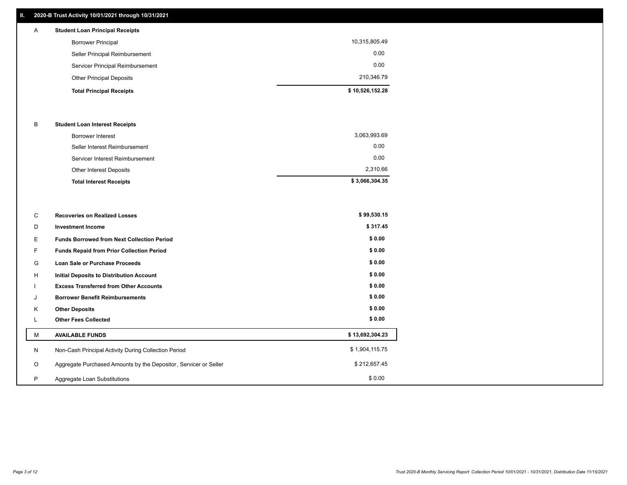# **II. 2020-B Trust Activity 10/01/2021 through 10/31/2021**

| A | <b>Student Loan Principal Receipts</b> |  |
|---|----------------------------------------|--|

| \$10,526,152.28 |
|-----------------|
| 210.346.79      |
| 0.00            |
| 0.00            |
| 10,315,805.49   |
|                 |

#### B **Student Loan Interest Receipts**

| <b>Total Interest Receipts</b>  | \$3,066,304.35 |
|---------------------------------|----------------|
| Other Interest Deposits         | 2,310.66       |
| Servicer Interest Reimbursement | 0.00           |
| Seller Interest Reimbursement   | 0.00           |
| Borrower Interest               | 3,063,993.69   |

| C       | <b>Recoveries on Realized Losses</b>                             | \$99,530.15     |
|---------|------------------------------------------------------------------|-----------------|
| D       | <b>Investment Income</b>                                         | \$317.45        |
| E.      | <b>Funds Borrowed from Next Collection Period</b>                | \$0.00          |
| F.      | Funds Repaid from Prior Collection Period                        | \$0.00          |
| G       | Loan Sale or Purchase Proceeds                                   | \$0.00          |
| H       | <b>Initial Deposits to Distribution Account</b>                  | \$0.00          |
|         | <b>Excess Transferred from Other Accounts</b>                    | \$0.00          |
| J       | <b>Borrower Benefit Reimbursements</b>                           | \$0.00          |
| K       | <b>Other Deposits</b>                                            | \$0.00          |
|         | <b>Other Fees Collected</b>                                      | \$0.00          |
| M       | <b>AVAILABLE FUNDS</b>                                           | \$13,692,304.23 |
| N       | Non-Cash Principal Activity During Collection Period             | \$1,904,115.75  |
| $\circ$ | Aggregate Purchased Amounts by the Depositor, Servicer or Seller | \$212,657.45    |
| P       | Aggregate Loan Substitutions                                     | \$0.00          |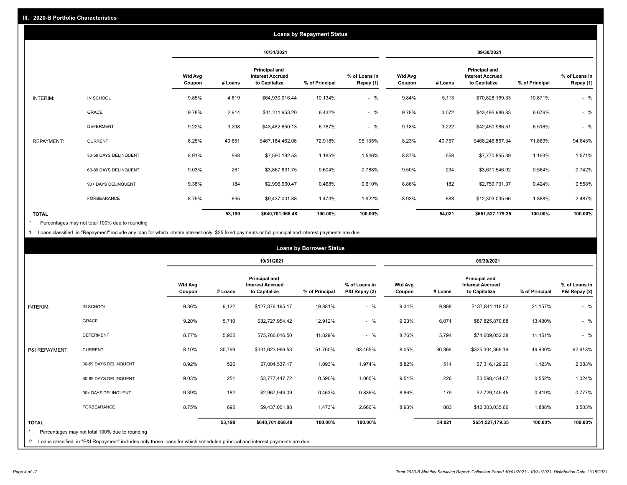|                   |                       |                   |         |                                                           | <b>Loans by Repayment Status</b> |                            |                          |         |                                                           |                |                            |
|-------------------|-----------------------|-------------------|---------|-----------------------------------------------------------|----------------------------------|----------------------------|--------------------------|---------|-----------------------------------------------------------|----------------|----------------------------|
|                   |                       |                   |         | 10/31/2021                                                |                                  |                            |                          |         | 09/30/2021                                                |                |                            |
|                   |                       | Wtd Avg<br>Coupon | # Loans | Principal and<br><b>Interest Accrued</b><br>to Capitalize | % of Principal                   | % of Loans in<br>Repay (1) | <b>Wtd Avg</b><br>Coupon | # Loans | Principal and<br><b>Interest Accrued</b><br>to Capitalize | % of Principal | % of Loans in<br>Repay (1) |
| INTERIM:          | IN SCHOOL             | 9.85%             | 4,619   | \$64,930,016.44                                           | 10.134%                          | $-$ %                      | 9.84%                    | 5,113   | \$70,828,169.33                                           | 10.871%        | $-$ %                      |
|                   | GRACE                 | 9.78%             | 2,914   | \$41,211,953.20                                           | 6.432%                           | $-$ %                      | 9.78%                    | 3,072   | \$43,495,986.83                                           | 6.676%         | $-$ %                      |
|                   | <b>DEFERMENT</b>      | 9.22%             | 3,298   | \$43,482,650.13                                           | 6.787%                           | $-$ %                      | 9.18%                    | 3,222   | \$42,450,986.51                                           | 6.516%         | $-$ %                      |
| <b>REPAYMENT:</b> | <b>CURRENT</b>        | 8.25%             | 40,651  | \$467,184,462.08                                          | 72.918%                          | 95.135%                    | 8.23%                    | 40,757  | \$468,246,867.34                                          | 71.869%        | 94.643%                    |
|                   | 30-59 DAYS DELINQUENT | 8.91%             | 568     | \$7,590,192.53                                            | 1.185%                           | 1.546%                     | 8.87%                    | 558     | \$7,770,855.39                                            | 1.193%         | 1.571%                     |
|                   | 60-89 DAYS DELINQUENT | 9.03%             | 261     | \$3,867,831.75                                            | 0.604%                           | 0.788%                     | 9.50%                    | 234     | \$3,671,546.92                                            | 0.564%         | 0.742%                     |
|                   | 90+ DAYS DELINQUENT   | 9.38%             | 184     | \$2,996,960.47                                            | 0.468%                           | 0.610%                     | 8.86%                    | 182     | \$2,759,731.37                                            | 0.424%         | 0.558%                     |
|                   | FORBEARANCE           | 8.75%             | 695     | \$9,437,001.88                                            | 1.473%                           | 1.922%                     | 8.93%                    | 883     | \$12,303,035.66                                           | 1.888%         | 2.487%                     |
| <b>TOTAL</b>      |                       |                   | 53,190  | \$640,701,068.48                                          | 100.00%                          | 100.00%                    |                          | 54,021  | \$651,527,179.35                                          | 100.00%        | 100.00%                    |

Percentages may not total 100% due to rounding \*

1 Loans classified in "Repayment" include any loan for which interim interest only, \$25 fixed payments or full principal and interest payments are due.

|                         |                                                                                                                                                                                |                          |         |                                                           | <b>Loans by Borrower Status</b> |                                |                          |         |                                                                  |                |                                |
|-------------------------|--------------------------------------------------------------------------------------------------------------------------------------------------------------------------------|--------------------------|---------|-----------------------------------------------------------|---------------------------------|--------------------------------|--------------------------|---------|------------------------------------------------------------------|----------------|--------------------------------|
|                         |                                                                                                                                                                                |                          |         | 10/31/2021                                                |                                 |                                |                          |         | 09/30/2021                                                       |                |                                |
|                         |                                                                                                                                                                                | <b>Wtd Avg</b><br>Coupon | # Loans | Principal and<br><b>Interest Accrued</b><br>to Capitalize | % of Principal                  | % of Loans in<br>P&I Repay (2) | <b>Wtd Avg</b><br>Coupon | # Loans | <b>Principal and</b><br><b>Interest Accrued</b><br>to Capitalize | % of Principal | % of Loans in<br>P&I Repay (2) |
| <b>INTERIM:</b>         | IN SCHOOL                                                                                                                                                                      | 9.36%                    | 9,122   | \$127,376,195.17                                          | 19.881%                         | $-$ %                          | 9.34%                    | 9,988   | \$137,841,118.52                                                 | 21.157%        | $-$ %                          |
|                         | <b>GRACE</b>                                                                                                                                                                   | 9.20%                    | 5,710   | \$82,727,954.42                                           | 12.912%                         | $-$ %                          | 9.23%                    | 6,071   | \$87,825,870.88                                                  | 13.480%        | $-$ %                          |
|                         | <b>DEFERMENT</b>                                                                                                                                                               | 8.77%                    | 5,905   | \$75,786,016.50                                           | 11.829%                         | $-$ %                          | 8.76%                    | 5,794   | \$74,609,052.38                                                  | 11.451%        | $-$ %                          |
| P&I REPAYMENT:          | <b>CURRENT</b>                                                                                                                                                                 | 8.10%                    | 30,799  | \$331,623,966.53                                          | 51.760%                         | 93.465%                        | 8.05%                    | 30,366  | \$325,304,369.19                                                 | 49.930%        | 92.613%                        |
|                         | 30-59 DAYS DELINQUENT                                                                                                                                                          | 8.92%                    | 526     | \$7,004,537.17                                            | 1.093%                          | 1.974%                         | 8.82%                    | 514     | \$7,316,129.20                                                   | 1.123%         | 2.083%                         |
|                         | 60-89 DAYS DELINQUENT                                                                                                                                                          | 9.03%                    | 251     | \$3,777,447.72                                            | 0.590%                          | 1.065%                         | 9.51%                    | 226     | \$3,598,454.07                                                   | 0.552%         | 1.024%                         |
|                         | 90+ DAYS DELINQUENT                                                                                                                                                            | 9.39%                    | 182     | \$2,967,949.09                                            | 0.463%                          | 0.836%                         | 8.86%                    | 179     | \$2,729,149.45                                                   | 0.419%         | 0.777%                         |
|                         | <b>FORBEARANCE</b>                                                                                                                                                             | 8.75%                    | 695     | \$9,437,001.88                                            | 1.473%                          | 2.660%                         | 8.93%                    | 883     | \$12,303,035.66                                                  | 1.888%         | 3.503%                         |
| <b>TOTAL</b><br>$\star$ | Percentages may not total 100% due to rounding<br>2 Loans classified in "P&I Repayment" includes only those loans for which scheduled principal and interest payments are due. |                          | 53,190  | \$640,701,068.48                                          | 100.00%                         | 100.00%                        |                          | 54,021  | \$651,527,179.35                                                 | 100.00%        | 100.00%                        |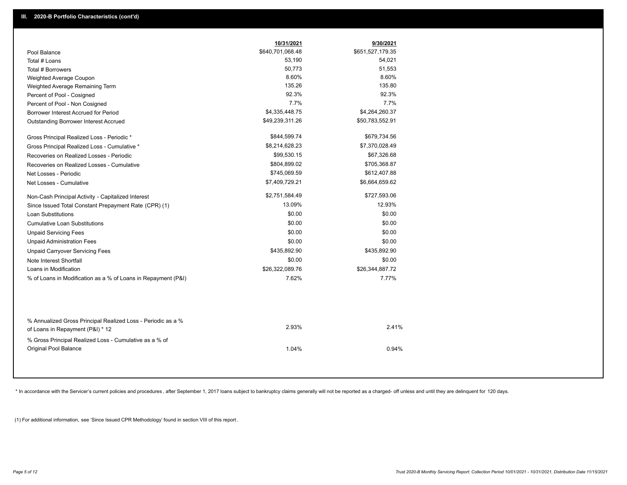|                                                                                        | 10/31/2021       | 9/30/2021        |
|----------------------------------------------------------------------------------------|------------------|------------------|
| Pool Balance                                                                           | \$640,701,068.48 | \$651,527,179.35 |
| Total # Loans                                                                          | 53,190           | 54,021           |
| Total # Borrowers                                                                      | 50,773           | 51,553           |
| Weighted Average Coupon                                                                | 8.60%            | 8.60%            |
| Weighted Average Remaining Term                                                        | 135.26           | 135.80           |
| Percent of Pool - Cosigned                                                             | 92.3%            | 92.3%            |
| Percent of Pool - Non Cosigned                                                         | 7.7%             | 7.7%             |
| Borrower Interest Accrued for Period                                                   | \$4,335,448.75   | \$4,264,260.37   |
| Outstanding Borrower Interest Accrued                                                  | \$49,239,311.26  | \$50,783,552.91  |
| Gross Principal Realized Loss - Periodic *                                             | \$844,599.74     | \$679,734.56     |
| Gross Principal Realized Loss - Cumulative *                                           | \$8,214,628.23   | \$7,370,028.49   |
| Recoveries on Realized Losses - Periodic                                               | \$99,530.15      | \$67,326.68      |
| Recoveries on Realized Losses - Cumulative                                             | \$804,899.02     | \$705,368.87     |
| Net Losses - Periodic                                                                  | \$745,069.59     | \$612,407.88     |
| Net Losses - Cumulative                                                                | \$7,409,729.21   | \$6,664,659.62   |
| Non-Cash Principal Activity - Capitalized Interest                                     | \$2,751,584.49   | \$727,593.06     |
| Since Issued Total Constant Prepayment Rate (CPR) (1)                                  | 13.09%           | 12.93%           |
| <b>Loan Substitutions</b>                                                              | \$0.00           | \$0.00           |
| <b>Cumulative Loan Substitutions</b>                                                   | \$0.00           | \$0.00           |
| <b>Unpaid Servicing Fees</b>                                                           | \$0.00           | \$0.00           |
| <b>Unpaid Administration Fees</b>                                                      | \$0.00           | \$0.00           |
| <b>Unpaid Carryover Servicing Fees</b>                                                 | \$435,892.90     | \$435,892.90     |
| Note Interest Shortfall                                                                | \$0.00           | \$0.00           |
| Loans in Modification                                                                  | \$26,322,089.76  | \$26,344,887.72  |
| % of Loans in Modification as a % of Loans in Repayment (P&I)                          | 7.62%            | 7.77%            |
| % Annualized Gross Principal Realized Loss - Periodic as a %                           |                  |                  |
| of Loans in Repayment (P&I) * 12                                                       | 2.93%            | 2.41%            |
| % Gross Principal Realized Loss - Cumulative as a % of<br><b>Original Pool Balance</b> | 1.04%            | 0.94%            |

\* In accordance with the Servicer's current policies and procedures, after September 1, 2017 loans subject to bankruptcy claims generally will not be reported as a charged- off unless and until they are delinquent for 120

(1) For additional information, see 'Since Issued CPR Methodology' found in section VIII of this report .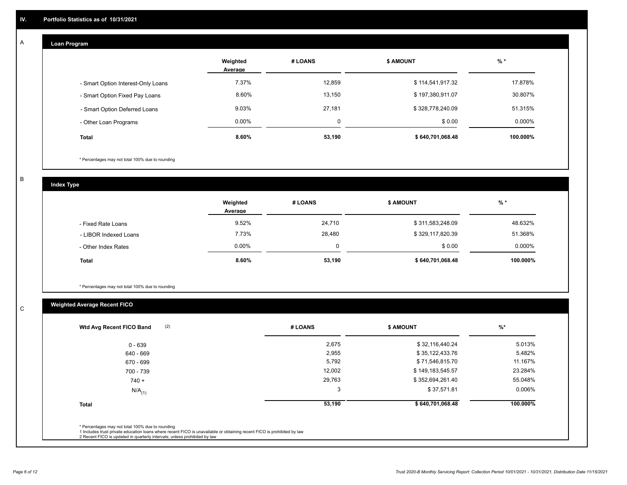## **Loan Program**

A

|                                    | Weighted<br>Average | # LOANS  | <b>\$ AMOUNT</b> | $%$ *     |
|------------------------------------|---------------------|----------|------------------|-----------|
| - Smart Option Interest-Only Loans | 7.37%               | 12,859   | \$114,541,917.32 | 17.878%   |
| - Smart Option Fixed Pay Loans     | 8.60%               | 13,150   | \$197,380,911.07 | 30.807%   |
| - Smart Option Deferred Loans      | 9.03%               | 27,181   | \$328,778,240.09 | 51.315%   |
| - Other Loan Programs              | $0.00\%$            | $\Omega$ | \$0.00           | $0.000\%$ |
| <b>Total</b>                       | 8.60%               | 53,190   | \$640,701,068.48 | 100.000%  |

\* Percentages may not total 100% due to rounding

B

C

**Index Type**

|                       | Weighted<br>Average | # LOANS  | <b>\$ AMOUNT</b> | $%$ *    |
|-----------------------|---------------------|----------|------------------|----------|
| - Fixed Rate Loans    | 9.52%               | 24,710   | \$311,583,248.09 | 48.632%  |
| - LIBOR Indexed Loans | 7.73%               | 28,480   | \$329,117,820.39 | 51.368%  |
| - Other Index Rates   | $0.00\%$            | $\Omega$ | \$0.00           | 0.000%   |
| <b>Total</b>          | 8.60%               | 53,190   | \$640,701,068.48 | 100.000% |

\* Percentages may not total 100% due to rounding

# **Weighted Average Recent FICO**

| 2,675<br>\$32,116,440.24<br>2,955<br>\$35,122,433.76<br>5,792<br>\$71,546,815.70<br>12,002<br>\$149,183,545.57 | 5.013%<br>5.482%<br>11.167%<br>23.284% |
|----------------------------------------------------------------------------------------------------------------|----------------------------------------|
|                                                                                                                |                                        |
|                                                                                                                |                                        |
|                                                                                                                |                                        |
|                                                                                                                |                                        |
| 29,763<br>\$352,694,261.40                                                                                     | 55.048%                                |
| 3<br>\$37,571.81                                                                                               | 0.006%                                 |
| 53,190                                                                                                         | 100.000%                               |
|                                                                                                                | \$640,701,068.48                       |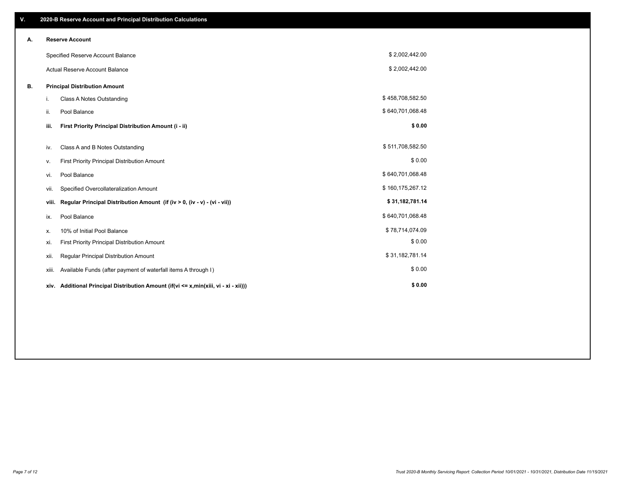| V. |       | 2020-B Reserve Account and Principal Distribution Calculations                       |                  |  |
|----|-------|--------------------------------------------------------------------------------------|------------------|--|
| А. |       | <b>Reserve Account</b>                                                               |                  |  |
|    |       | Specified Reserve Account Balance                                                    | \$2,002,442.00   |  |
|    |       | Actual Reserve Account Balance                                                       | \$2,002,442.00   |  |
| В. |       | <b>Principal Distribution Amount</b>                                                 |                  |  |
|    | i.    | Class A Notes Outstanding                                                            | \$458,708,582.50 |  |
|    | ii.   | Pool Balance                                                                         | \$640,701,068.48 |  |
|    | iii.  | First Priority Principal Distribution Amount (i - ii)                                | \$0.00           |  |
|    | iv.   | Class A and B Notes Outstanding                                                      | \$511,708,582.50 |  |
|    | ۷.    | First Priority Principal Distribution Amount                                         | \$0.00           |  |
|    | vi.   | Pool Balance                                                                         | \$640,701,068.48 |  |
|    | vii.  | Specified Overcollateralization Amount                                               | \$160,175,267.12 |  |
|    | viii. | Regular Principal Distribution Amount (if (iv > 0, (iv - v) - (vi - vii))            | \$31,182,781.14  |  |
|    | ix.   | Pool Balance                                                                         | \$640,701,068.48 |  |
|    | х.    | 10% of Initial Pool Balance                                                          | \$78,714,074.09  |  |
|    | xi.   | First Priority Principal Distribution Amount                                         | \$0.00           |  |
|    | xii.  | Regular Principal Distribution Amount                                                | \$31,182,781.14  |  |
|    | xiii. | Available Funds (after payment of waterfall items A through I)                       | \$0.00           |  |
|    |       | xiv. Additional Principal Distribution Amount (if(vi <= x,min(xiii, vi - xi - xii))) | \$0.00           |  |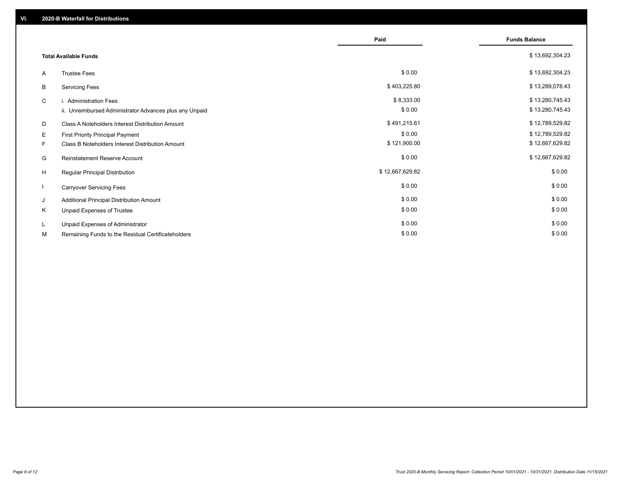|                              |                                                         | Paid            | <b>Funds Balance</b> |
|------------------------------|---------------------------------------------------------|-----------------|----------------------|
| <b>Total Available Funds</b> |                                                         |                 | \$13,692,304.23      |
| A                            | <b>Trustee Fees</b>                                     | \$0.00          | \$13,692,304.23      |
| В                            | <b>Servicing Fees</b>                                   | \$403,225.80    | \$13,289,078.43      |
| C                            | i. Administration Fees                                  | \$8,333.00      | \$13,280,745.43      |
|                              | ii. Unreimbursed Administrator Advances plus any Unpaid | \$0.00          | \$13,280,745.43      |
| D                            | Class A Noteholders Interest Distribution Amount        | \$491,215.61    | \$12,789,529.82      |
| Е                            | First Priority Principal Payment                        | \$0.00          | \$12,789,529.82      |
| F.                           | Class B Noteholders Interest Distribution Amount        | \$121,900.00    | \$12,667,629.82      |
| G                            | <b>Reinstatement Reserve Account</b>                    | \$0.00          | \$12,667,629.82      |
| H                            | Regular Principal Distribution                          | \$12,667,629.82 | \$0.00               |
|                              | <b>Carryover Servicing Fees</b>                         | \$0.00          | \$0.00               |
| J                            | Additional Principal Distribution Amount                | \$0.00          | \$0.00               |
| Κ                            | Unpaid Expenses of Trustee                              | \$0.00          | \$0.00               |
| L                            | Unpaid Expenses of Administrator                        | \$0.00          | \$0.00               |
| М                            | Remaining Funds to the Residual Certificateholders      | \$0.00          | \$0.00               |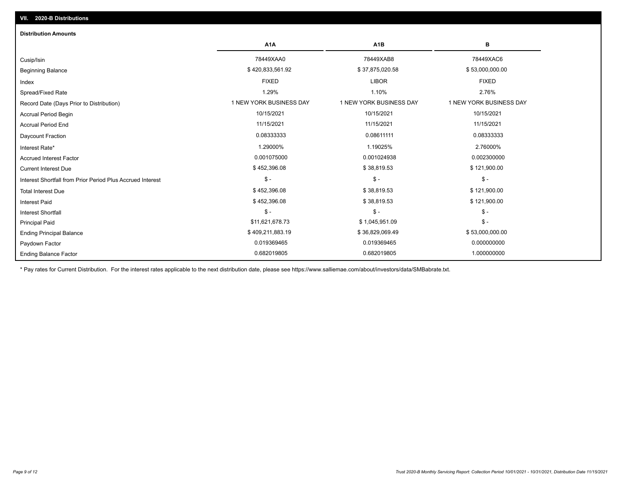| <b>Distribution Amounts</b>                                |                         |                         |                         |
|------------------------------------------------------------|-------------------------|-------------------------|-------------------------|
|                                                            | A <sub>1</sub> A        | A <sub>1</sub> B        | в                       |
| Cusip/Isin                                                 | 78449XAA0               | 78449XAB8               | 78449XAC6               |
| <b>Beginning Balance</b>                                   | \$420,833,561.92        | \$37,875,020.58         | \$53,000,000.00         |
| Index                                                      | <b>FIXED</b>            | <b>LIBOR</b>            | <b>FIXED</b>            |
| Spread/Fixed Rate                                          | 1.29%                   | 1.10%                   | 2.76%                   |
| Record Date (Days Prior to Distribution)                   | 1 NEW YORK BUSINESS DAY | 1 NEW YORK BUSINESS DAY | 1 NEW YORK BUSINESS DAY |
| <b>Accrual Period Begin</b>                                | 10/15/2021              | 10/15/2021              | 10/15/2021              |
| <b>Accrual Period End</b>                                  | 11/15/2021              | 11/15/2021              | 11/15/2021              |
| Daycount Fraction                                          | 0.08333333              | 0.08611111              | 0.08333333              |
| Interest Rate*                                             | 1.29000%                | 1.19025%                | 2.76000%                |
| <b>Accrued Interest Factor</b>                             | 0.001075000             | 0.001024938             | 0.002300000             |
| <b>Current Interest Due</b>                                | \$452,396.08            | \$38,819.53             | \$121,900.00            |
| Interest Shortfall from Prior Period Plus Accrued Interest | $\mathcal{S}$ -         | $\mathcal{S}$ -         | $\frac{1}{2}$           |
| <b>Total Interest Due</b>                                  | \$452,396.08            | \$38,819.53             | \$121,900.00            |
| <b>Interest Paid</b>                                       | \$452,396.08            | \$38,819.53             | \$121,900.00            |
| <b>Interest Shortfall</b>                                  | $\mathsf{\$}$ -         | $$ -$                   | $$ -$                   |
| <b>Principal Paid</b>                                      | \$11,621,678.73         | \$1,045,951.09          | $\mathsf{\$}$ -         |
| <b>Ending Principal Balance</b>                            | \$409,211,883.19        | \$36,829,069.49         | \$53,000,000.00         |
| Paydown Factor                                             | 0.019369465             | 0.019369465             | 0.000000000             |
| <b>Ending Balance Factor</b>                               | 0.682019805             | 0.682019805             | 1.000000000             |

\* Pay rates for Current Distribution. For the interest rates applicable to the next distribution date, please see https://www.salliemae.com/about/investors/data/SMBabrate.txt.

**VII. 2020-B Distributions**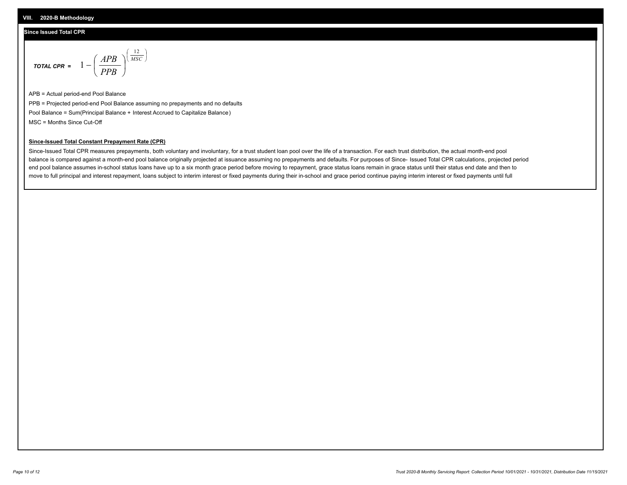## **Since Issued Total CPR**

$$
\text{total cPR} = 1 - \left(\frac{APB}{PPB}\right)^{\left(\frac{12}{MSC}\right)}
$$

APB = Actual period-end Pool Balance PPB = Projected period-end Pool Balance assuming no prepayments and no defaults Pool Balance = Sum(Principal Balance + Interest Accrued to Capitalize Balance) MSC = Months Since Cut-Off

I J Ι

### **Since-Issued Total Constant Prepayment Rate (CPR)**

Since-Issued Total CPR measures prepayments, both voluntary and involuntary, for a trust student loan pool over the life of a transaction. For each trust distribution, the actual month-end pool balance is compared against a month-end pool balance originally projected at issuance assuming no prepayments and defaults. For purposes of Since- Issued Total CPR calculations, projected period end pool balance assumes in-school status loans have up to a six month grace period before moving to repayment, grace status loans remain in grace status until their status end date and then to move to full principal and interest repayment, loans subject to interim interest or fixed payments during their in-school and grace period continue paying interim interest or fixed payments until full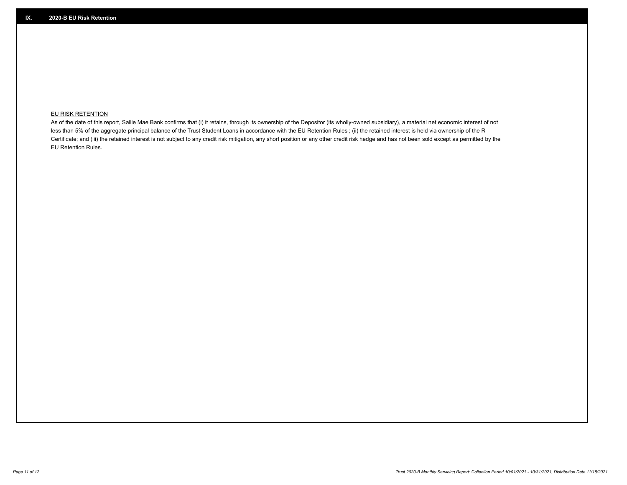## **EU RISK RETENTION**

As of the date of this report, Sallie Mae Bank confirms that (i) it retains, through its ownership of the Depositor (its wholly-owned subsidiary), a material net economic interest of not less than 5% of the aggregate principal balance of the Trust Student Loans in accordance with the EU Retention Rules ; (ii) the retained interest is held via ownership of the R Certificate; and (iii) the retained interest is not subject to any credit risk mitigation, any short position or any other credit risk hedge and has not been sold except as permitted by the EU Retention Rules.